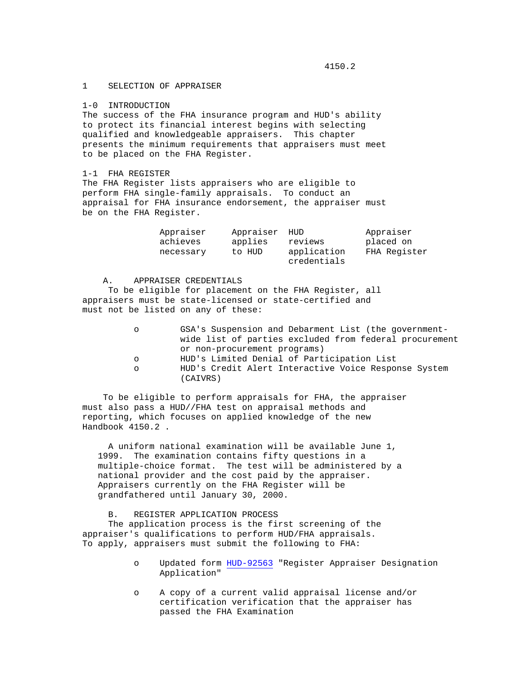## 1 SELECTION OF APPRAISER

1-0 INTRODUCTION

 The success of the FHA insurance program and HUD's ability to protect its financial interest begins with selecting qualified and knowledgeable appraisers. This chapter presents the minimum requirements that appraisers must meet to be placed on the FHA Register.

## 1-1 FHA REGISTER

 The FHA Register lists appraisers who are eligible to perform FHA single-family appraisals. To conduct an appraisal for FHA insurance endorsement, the appraiser must be on the FHA Register.

| Appraiser | Appraiser HUD |             | Appraiser    |
|-----------|---------------|-------------|--------------|
| achieves  | applies       | reviews     | placed on    |
| necessary | to HUD        | application | FHA Register |
|           |               | credentials |              |

## A. APPRAISER CREDENTIALS

 To be eligible for placement on the FHA Register, all appraisers must be state-licensed or state-certified and must not be listed on any of these:

| $\circ$ | GSA's Suspension and Debarment List (the government-<br>wide list of parties excluded from federal procurement |  |  |  |  |
|---------|----------------------------------------------------------------------------------------------------------------|--|--|--|--|
|         |                                                                                                                |  |  |  |  |
|         | or non-procurement programs)                                                                                   |  |  |  |  |
| $\circ$ | HUD's Limited Denial of Participation List                                                                     |  |  |  |  |
| $\circ$ | HUD's Credit Alert Interactive Voice Response System                                                           |  |  |  |  |
|         | (CAIVRS)                                                                                                       |  |  |  |  |

 To be eligible to perform appraisals for FHA, the appraiser must also pass a HUD//FHA test on appraisal methods and reporting, which focuses on applied knowledge of the new Handbook 4150.2 .

 A uniform national examination will be available June 1, 1999. The examination contains fifty questions in a multiple-choice format. The test will be administered by a national provider and the cost paid by the appraiser. Appraisers currently on the FHA Register will be grandfathered until January 30, 2000.

 B. REGISTER APPLICATION PROCESS The application process is the first screening of the appraiser's qualifications to perform HUD/FHA appraisals. To apply, appraisers must submit the following to FHA:

- o Updated form HUD-92563 "Register Appraiser Designation Application"
- o A copy of a current valid appraisal license and/or certification verification that the appraiser has passed the FHA Examination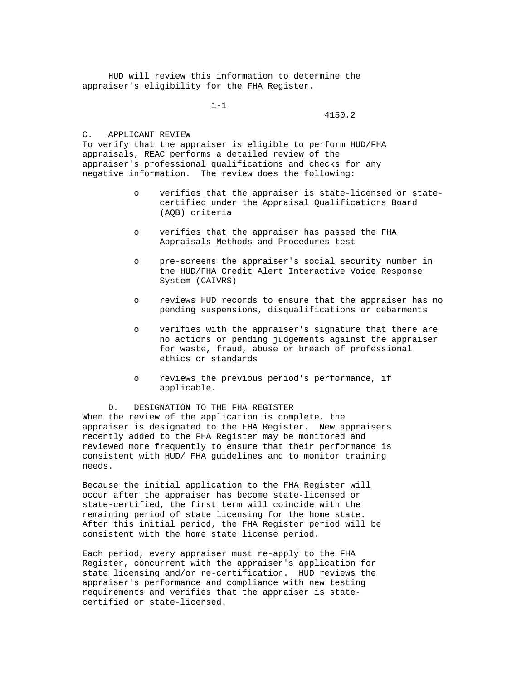HUD will review this information to determine the appraiser's eligibility for the FHA Register.

1-1

4150.2

C. APPLICANT REVIEW

 To verify that the appraiser is eligible to perform HUD/FHA appraisals, REAC performs a detailed review of the appraiser's professional qualifications and checks for any negative information. The review does the following:

- o verifies that the appraiser is state-licensed or state certified under the Appraisal Qualifications Board (AQB) criteria
- o verifies that the appraiser has passed the FHA Appraisals Methods and Procedures test
- o pre-screens the appraiser's social security number in the HUD/FHA Credit Alert Interactive Voice Response System (CAIVRS)
- o reviews HUD records to ensure that the appraiser has no pending suspensions, disqualifications or debarments
- o verifies with the appraiser's signature that there are no actions or pending judgements against the appraiser for waste, fraud, abuse or breach of professional ethics or standards
- o reviews the previous period's performance, if applicable.

 D. DESIGNATION TO THE FHA REGISTER When the review of the application is complete, the appraiser is designated to the FHA Register. New appraisers recently added to the FHA Register may be monitored and reviewed more frequently to ensure that their performance is consistent with HUD/ FHA guidelines and to monitor training needs.

 Because the initial application to the FHA Register will occur after the appraiser has become state-licensed or state-certified, the first term will coincide with the remaining period of state licensing for the home state. After this initial period, the FHA Register period will be consistent with the home state license period.

 Each period, every appraiser must re-apply to the FHA Register, concurrent with the appraiser's application for state licensing and/or re-certification. HUD reviews the appraiser's performance and compliance with new testing requirements and verifies that the appraiser is state certified or state-licensed.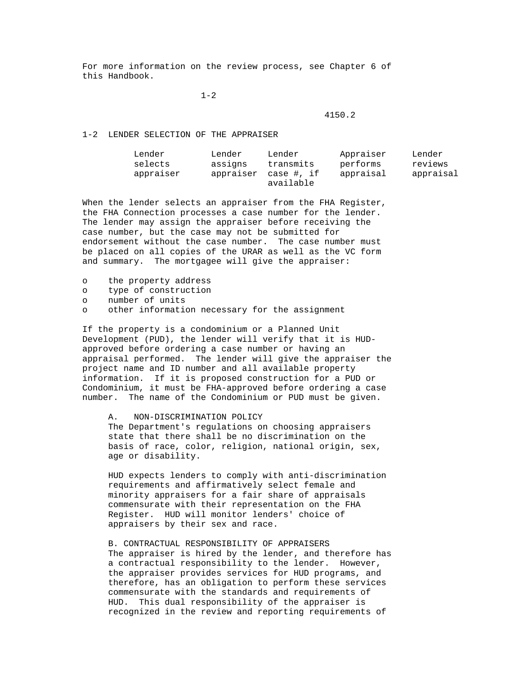For more information on the review process, see Chapter 6 of this Handbook.

 $1-2$ 

4150.2

1-2 LENDER SELECTION OF THE APPRAISER

| Lender    | Lender    | Lender     | Appraiser | Lender    |
|-----------|-----------|------------|-----------|-----------|
| selects   | assigns   | transmits  | performs  | reviews   |
| appraiser | appraiser | case #, if | appraisal | appraisal |
|           |           | available  |           |           |

 When the lender selects an appraiser from the FHA Register, the FHA Connection processes a case number for the lender. The lender may assign the appraiser before receiving the case number, but the case may not be submitted for endorsement without the case number. The case number must be placed on all copies of the URAR as well as the VC form and summary. The mortgagee will give the appraiser:

- o the property address
- o type of construction
- o number of units
- o other information necessary for the assignment

 If the property is a condominium or a Planned Unit Development (PUD), the lender will verify that it is HUD approved before ordering a case number or having an appraisal performed. The lender will give the appraiser the project name and ID number and all available property information. If it is proposed construction for a PUD or Condominium, it must be FHA-approved before ordering a case number. The name of the Condominium or PUD must be given.

 A. NON-DISCRIMINATION POLICY The Department's regulations on choosing appraisers state that there shall be no discrimination on the basis of race, color, religion, national origin, sex, age or disability.

 HUD expects lenders to comply with anti-discrimination requirements and affirmatively select female and minority appraisers for a fair share of appraisals commensurate with their representation on the FHA Register. HUD will monitor lenders' choice of appraisers by their sex and race.

 B. CONTRACTUAL RESPONSIBILITY OF APPRAISERS The appraiser is hired by the lender, and therefore has a contractual responsibility to the lender. However, the appraiser provides services for HUD programs, and therefore, has an obligation to perform these services commensurate with the standards and requirements of HUD. This dual responsibility of the appraiser is recognized in the review and reporting requirements of